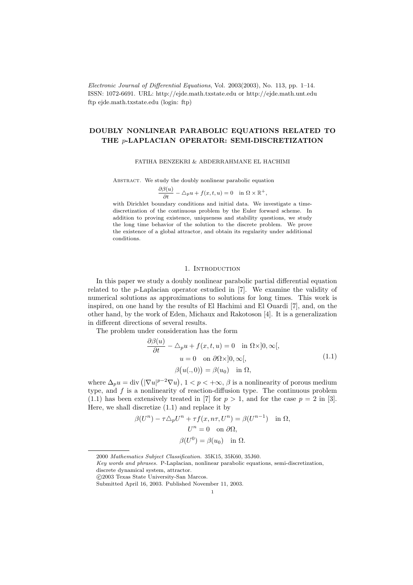Electronic Journal of Differential Equations, Vol. 2003(2003), No. 113, pp. 1–14. ISSN: 1072-6691. URL: http://ejde.math.txstate.edu or http://ejde.math.unt.edu ftp ejde.math.txstate.edu (login: ftp)

# DOUBLY NONLINEAR PARABOLIC EQUATIONS RELATED TO THE p-LAPLACIAN OPERATOR: SEMI-DISCRETIZATION

#### FATIHA BENZEKRI & ABDERRAHMANE EL HACHIMI

ABSTRACT. We study the doubly nonlinear parabolic equation

$$
\frac{\partial \beta(u)}{\partial t} - \triangle_p u + f(x, t, u) = 0 \quad \text{in } \Omega \times \mathbb{R}^+,
$$

with Dirichlet boundary conditions and initial data. We investigate a timediscretization of the continuous problem by the Euler forward scheme. In addition to proving existence, uniqueness and stability questions, we study the long time behavior of the solution to the discrete problem. We prove the existence of a global attractor, and obtain its regularity under additional conditions.

## 1. INTRODUCTION

In this paper we study a doubly nonlinear parabolic partial differential equation related to the p-Laplacian operator estudied in [7]. We examine the validity of numerical solutions as approximations to solutions for long times. This work is inspired, on one hand by the results of El Hachimi and El Ouardi [7], and, on the other hand, by the work of Eden, Michaux and Rakotoson [4]. It is a generalization in different directions of several results.

The problem under consideration has the form

$$
\frac{\partial \beta(u)}{\partial t} - \Delta_p u + f(x, t, u) = 0 \quad \text{in } \Omega \times ]0, \infty[,
$$
  
 
$$
u = 0 \quad \text{on } \partial \Omega \times ]0, \infty[,
$$
  
 
$$
\beta(u(., 0)) = \beta(u_0) \quad \text{in } \Omega,
$$
 (1.1)

where  $\Delta_p u = \text{div} \left( |\nabla u|^{p-2} \nabla u \right), \ 1 < p < +\infty, \ \beta \text{ is a nonlinearity of porous medium}$ type, and  $f$  is a nonlinearity of reaction-diffusion type. The continuous problem  $(1.1)$  has been extensively treated in [7] for  $p > 1$ , and for the case  $p = 2$  in [3]. Here, we shall discretize (1.1) and replace it by

$$
\beta(U^n) - \tau \Delta_p U^n + \tau f(x, n\tau, U^n) = \beta(U^{n-1}) \quad \text{in } \Omega,
$$

$$
U^n = 0 \quad \text{on } \partial\Omega,
$$

$$
\beta(U^0) = \beta(u_0) \quad \text{in } \Omega.
$$

Key words and phrases. P-Laplacian, nonlinear parabolic equations, semi-discretization, discrete dynamical system, attractor.

c 2003 Texas State University-San Marcos.

<sup>2000</sup> Mathematics Subject Classification. 35K15, 35K60, 35J60.

Submitted April 16, 2003. Published November 11, 2003.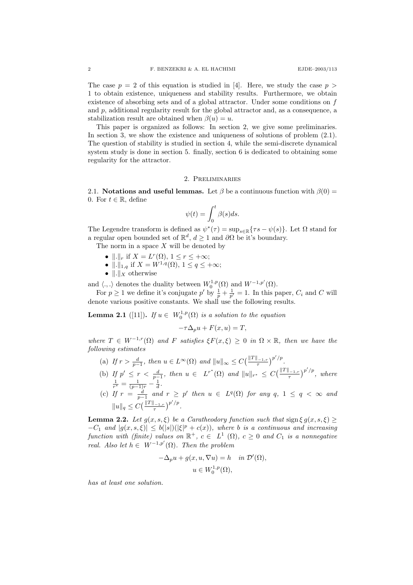The case  $p = 2$  of this equation is studied in [4]. Here, we study the case  $p > 1$ 1 to obtain existence, uniqueness and stability results. Furthermore, we obtain existence of absorbing sets and of a global attractor. Under some conditions on f and  $p$ , additional regularity result for the global attractor and, as a consequence, a stabilization result are obtained when  $\beta(u) = u$ .

This paper is organized as follows: In section 2, we give some preliminaries. In section 3, we show the existence and uniqueness of solutions of problem (2.1). The question of stability is studied in section 4, while the semi-discrete dynamical system study is done in section 5. finally, section 6 is dedicated to obtaining some regularity for the attractor.

## 2. Preliminaries

2.1. Notations and useful lemmas. Let  $\beta$  be a continuous function with  $\beta(0)$  = 0. For  $t \in \mathbb{R}$ , define

$$
\psi(t) = \int_0^t \beta(s)ds.
$$

The Legendre transform is defined as  $\psi^*(\tau) = \sup_{s \in \mathbb{R}} \{ \tau s - \psi(s) \}.$  Let  $\Omega$  stand for a regular open bounded set of  $\mathbb{R}^d$ ,  $d \geq 1$  and  $\partial\Omega$  be it's boundary.

The norm in a space  $X$  will be denoted by

- $\|\cdot\|_r$  if  $X = L^r(\Omega)$ ,  $1 \le r \le +\infty$ ;
- $\|.\|_{1,q}$  if  $X = W^{1,q}(\Omega), 1 \le q \le +\infty;$
- $\|.\|_X$  otherwise

and  $\langle .,.\rangle$  denotes the duality between  $W_0^{1,p}(\Omega)$  and  $W^{-1,p'}(\Omega)$ .

For  $p \geq 1$  we define it's conjugate  $p'$  by  $\frac{1}{p} + \frac{1}{p'} = 1$ . In this paper,  $C_i$  and C will denote various positive constants. We shall use the following results.

**Lemma 2.1** ([11]). If  $u \in W_0^{1,p}(\Omega)$  is a solution to the equation

 $-\tau \Delta_n u + F(x, u) = T$ 

where  $T \in W^{-1,r}(\Omega)$  and F satisfies  $\xi F(x,\xi) \geq 0$  in  $\Omega \times \mathbb{R}$ , then we have the following estimates

- (a) If  $r > \frac{d}{p-1}$ , then  $u \in L^{\infty}(\Omega)$  and  $||u||_{\infty} \leq C\left(\frac{||T||_{-1,r}}{\tau}\right)^{p'/p}$ .
- (b) If  $p' \leq r < \frac{d}{p-1}$ , then  $u \in L^{r^*}(\Omega)$  and  $||u||_{r^*} \leq C(\frac{||T||_{-1,r}}{\tau})^{p'/p}$ , where  $\frac{1}{r^*} = \frac{1}{(p-1)r} - \frac{1}{d}.$
- (c) If  $r = \frac{d}{p-1}$  and  $r \geq p'$  then  $u \in L^q(\Omega)$  for any  $q, 1 \leq q < \infty$  and  $||u||_q \leq C \left(\frac{||T||_{-1,r}}{\tau}\right)^{p'/p}.$

**Lemma 2.2.** Let  $g(x, s, \xi)$  be a Caratheodory function such that sign  $\xi g(x, s, \xi) \ge$  $-C_1$  and  $|g(x, s, \xi)| \leq b(|s|)(|\xi|^p + c(x))$ , where b is a continuous and increasing function with (finite) values on  $\mathbb{R}^+$ ,  $c \in L^1(\Omega)$ ,  $c \geq 0$  and  $C_1$  is a nonnegative real. Also let  $h \in W^{-1,p'}(\Omega)$ . Then the problem

$$
-\Delta_p u + g(x, u, \nabla u) = h \quad in \mathcal{D}'(\Omega),
$$
  

$$
u \in W_0^{1,p}(\Omega),
$$

has at least one solution.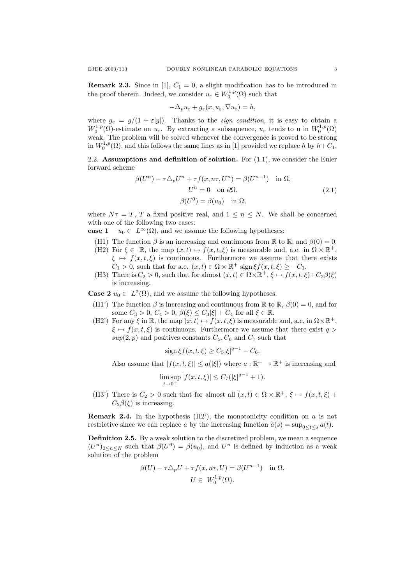**Remark 2.3.** Since in [1],  $C_1 = 0$ , a slight modification has to be introduced in the proof therein. Indeed, we consider  $u_{\varepsilon} \in W_0^{1,p}(\Omega)$  such that

$$
-\Delta_p u_\varepsilon + g_\varepsilon(x, u_\varepsilon, \nabla u_\varepsilon) = h,
$$

where  $g_{\varepsilon} = g/(1 + \varepsilon|g|)$ . Thanks to the *sign condition*, it is easy to obtain a  $W_0^{1,p}(\Omega)$ -estimate on  $u_\varepsilon$ . By extracting a subsequence,  $u_\varepsilon$  tends to u in  $W_0^{1,p}(\Omega)$ weak. The problem will be solved whenever the convergence is proved to be strong in  $W_0^{1,p}(\Omega)$ , and this follows the same lines as in [1] provided we replace h by  $h+C_1$ .

2.2. Assumptions and definition of solution. For  $(1.1)$ , we consider the Euler forward scheme

$$
\beta(U^n) - \tau \Delta_p U^n + \tau f(x, n\tau, U^n) = \beta(U^{n-1}) \quad \text{in } \Omega,
$$
  
\n
$$
U^n = 0 \quad \text{on } \partial\Omega,
$$
  
\n
$$
\beta(U^0) = \beta(u_0) \quad \text{in } \Omega,
$$
\n(2.1)

where  $N\tau = T$ , T a fixed positive real, and  $1 \leq n \leq N$ . We shall be concerned with one of the following two cases:

case 1  $u_0 \in L^{\infty}(\Omega)$ , and we assume the following hypotheses:

- (H1) The function  $\beta$  is an increasing and continuous from R to R, and  $\beta(0) = 0$ .
- (H2) For  $\xi \in \mathbb{R}$ , the map  $(x, t) \mapsto f(x, t, \xi)$  is measurable and, a.e. in  $\Omega \times \mathbb{R}^+$ ,  $\xi \mapsto f(x, t, \xi)$  is continuous. Furthermore we assume that there exists  $C_1 > 0$ , such that for a.e.  $(x, t) \in \Omega \times \mathbb{R}^+$  sign  $\xi f(x, t, \xi) \geq -C_1$ .
- (H3) There is  $C_2 > 0$ , such that for almost  $(x, t) \in \Omega \times \mathbb{R}^+, \xi \mapsto f(x, t, \xi) + C_2 \beta(\xi)$ is increasing.

**Case 2**  $u_0 \in L^2(\Omega)$ , and we assume the following hypotheses:

- (H1') The function  $\beta$  is increasing and continuous from  $\mathbb R$  to  $\mathbb R$ ,  $\beta(0) = 0$ , and for some  $C_3 > 0$ ,  $C_4 > 0$ ,  $\beta(\xi) \leq C_3 |\xi| + C_4$  for all  $\xi \in \mathbb{R}$ .
- (H2') For any  $\xi$  in  $\mathbb{R}$ , the map  $(x, t) \mapsto f(x, t, \xi)$  is measurable and, a.e, in  $\Omega \times \mathbb{R}^+$ ,  $\xi \mapsto f(x, t, \xi)$  is continuous. Furthermore we assume that there exist  $q >$  $sup(2, p)$  and positives constants  $C_5, C_6$  and  $C_7$  such that

$$
\text{sign}\,\xi f(x,t,\xi) \ge C_5 |\xi|^{q-1} - C_6.
$$

Also assume that  $|f(x, t, \xi)| \le a(|\xi|)$  where  $a : \mathbb{R}^+ \to \mathbb{R}^+$  is increasing and

$$
\limsup_{t \to 0^+} |f(x, t, \xi)| \le C_7(|\xi|^{q-1} + 1).
$$

(H3') There is  $C_2 > 0$  such that for almost all  $(x, t) \in \Omega \times \mathbb{R}^+, \xi \mapsto f(x, t, \xi)$  +  $C_2\beta(\xi)$  is increasing.

**Remark 2.4.** In the hypothesis  $(H2')$ , the monotonicity condition on  $a$  is not restrictive since we can replace a by the increasing function  $\tilde{a}(s) = \sup_{0 \leq t \leq s} a(t)$ .

Definition 2.5. By a weak solution to the discretized problem, we mean a sequence  $(U^n)_{0 \leq n \leq N}$  such that  $\beta(U^0) = \beta(u_0)$ , and  $U^n$  is defined by induction as a weak solution of the problem

$$
\beta(U) - \tau \Delta_p U + \tau f(x, n\tau, U) = \beta(U^{n-1}) \quad \text{in } \Omega,
$$
  

$$
U \in W_0^{1,p}(\Omega).
$$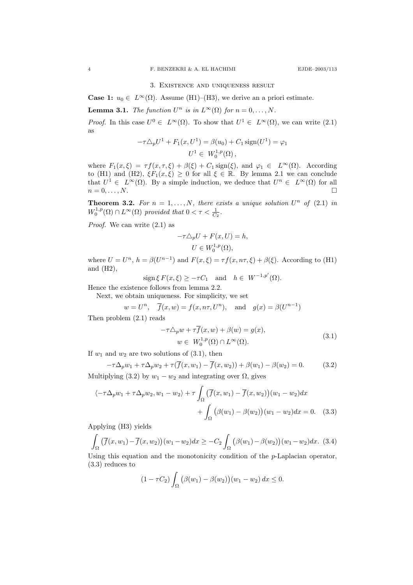### 3. Existence and uniqueness result

**Case 1:**  $u_0 \in L^{\infty}(\Omega)$ . Assume (H1)–(H3), we derive an a priori estimate.

**Lemma 3.1.** The function  $U^n$  is in  $L^{\infty}(\Omega)$  for  $n = 0, ..., N$ .

*Proof.* In this case  $U^0 \in L^{\infty}(\Omega)$ . To show that  $U^1 \in L^{\infty}(\Omega)$ , we can write (2.1) as

$$
-\tau \triangle_p U^1 + F_1(x, U^1) = \beta(u_0) + C_1 \operatorname{sign}(U^1) = \varphi_1
$$
  

$$
U^1 \in W_0^{1,p}(\Omega),
$$

where  $F_1(x,\xi) = \tau f(x,\tau,\xi) + \beta(\xi) + C_1 \text{sign}(\xi)$ , and  $\varphi_1 \in L^{\infty}(\Omega)$ . According to (H1) and (H2),  $\xi F_1(x,\xi) \geq 0$  for all  $\xi \in \mathbb{R}$ . By lemma 2.1 we can conclude that  $U^1 \in L^{\infty}(\Omega)$ . By a simple induction, we deduce that  $U^n \in L^{\infty}(\Omega)$  for all  $n = 0, \ldots, N.$ 

**Theorem 3.2.** For  $n = 1, ..., N$ , there exists a unique solution  $U^n$  of (2.1) in  $W_0^{1,p}(\Omega) \cap L^{\infty}(\Omega)$  provided that  $0 < \tau < \frac{1}{C_2}$ .

Proof. We can write (2.1) as

$$
-\tau \triangle_p U + F(x, U) = h,
$$
  

$$
U \in W_0^{1,p}(\Omega),
$$

where  $U = U^n$ ,  $h = \beta(U^{n-1})$  and  $F(x,\xi) = \tau f(x,n\tau,\xi) + \beta(\xi)$ . According to (H1) and (H2),

$$
\operatorname{sign}\xi F(x,\xi) \ge -\tau C_1 \quad \text{and} \quad h \in W^{-1,p'}(\Omega).
$$

Hence the existence follows from lemma 2.2.

Next, we obtain uniqueness. For simplicity, we set

$$
w = U^n
$$
,  $\overline{f}(x, w) = f(x, n\tau, U^n)$ , and  $g(x) = \beta(U^{n-1})$ 

Then problem (2.1) reads

$$
-\tau \Delta_p w + \tau \overline{f}(x, w) + \beta(w) = g(x),
$$
  
\n
$$
w \in W_0^{1, p}(\Omega) \cap L^{\infty}(\Omega).
$$
\n(3.1)

If  $w_1$  and  $w_2$  are two solutions of  $(3.1)$ , then

$$
-\tau \Delta_p w_1 + \tau \Delta_p w_2 + \tau(\overline{f}(x, w_1) - \overline{f}(x, w_2)) + \beta(w_1) - \beta(w_2) = 0.
$$
 (3.2)

Multiplying (3.2) by  $w_1 - w_2$  and integrating over  $\Omega$ , gives

$$
\langle -\tau \Delta_p w_1 + \tau \Delta_p w_2, w_1 - w_2 \rangle + \tau \int_{\Omega} \left( \overline{f}(x, w_1) - \overline{f}(x, w_2) \right) (w_1 - w_2) dx
$$

$$
+ \int_{\Omega} \left( \beta(w_1) - \beta(w_2) \right) (w_1 - w_2) dx = 0. \quad (3.3)
$$

Applying (H3) yields

$$
\int_{\Omega} \left( \overline{f}(x, w_1) - \overline{f}(x, w_2) \right) (w_1 - w_2) dx \geq -C_2 \int_{\Omega} \left( \beta(w_1) - \beta(w_2) \right) (w_1 - w_2) dx. \tag{3.4}
$$

Using this equation and the monotonicity condition of the  $p$ -Laplacian operator, (3.3) reduces to

$$
(1 - \tau C_2) \int_{\Omega} (\beta(w_1) - \beta(w_2))(w_1 - w_2) dx \le 0.
$$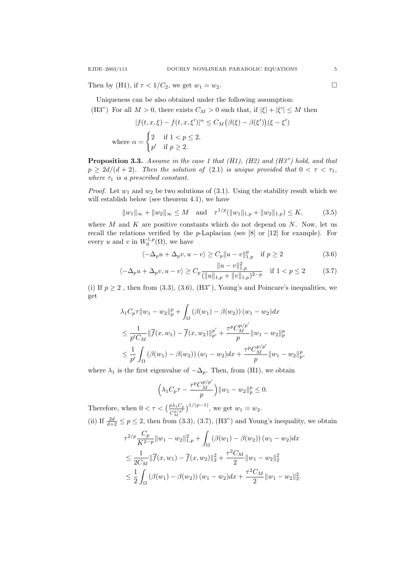Then by (H1), if  $\tau < 1/C_2$ , we get  $w_1 = w_2$ .

Uniqueness can be also obtained under the following assumption:

(H3") For all  $M > 0$ , there exists  $C_M > 0$  such that, if  $|\xi| + |\xi'| \leq M$  then

$$
|f(t, x, \xi) - f(t, x, \xi')|^{\alpha} \le C_M (\beta(\xi) - \beta(\xi'))(\xi - \xi')
$$
  
where  $\alpha = \begin{cases} 2 & \text{if } 1 < p \le 2, \\ p' & \text{if } p \ge 2. \end{cases}$ 

Proposition 3.3. Assume in the case 1 that (H1), (H2) and (H3") hold, and that  $p \geq 2d/(d+2)$ . Then the solution of (2.1) is unique provided that  $0 < \tau < \tau_1$ , where  $\tau_1$  is a prescribed constant.

*Proof.* Let  $w_1$  and  $w_2$  be two solutions of (3.1). Using the stability result which we will establish below (see theorem 4.1), we have

$$
||w_1||_{\infty} + ||w_2||_{\infty} \le M \quad \text{and} \quad \tau^{1/p} (||w_1||_{1,p} + ||w_2||_{1,p}) \le K,\tag{3.5}
$$

where  $M$  and  $K$  are positive constants which do not depend on  $N$ . Now, let us recall the relations verified by the p-Laplacian (see [8] or [12] for example). For every u and v in  $W_0^{1,p}(\Omega)$ , we have

$$
\langle -\Delta_p u + \Delta_p v, u - v \rangle \ge C_p ||u - v||_{1,p}^p \quad \text{if } p \ge 2
$$
\n
$$
||u - v||_2^2 \tag{3.6}
$$

$$
\langle -\Delta_p u + \Delta_p v, u - v \rangle \ge C_p \frac{\|u - v\|_{1,p}^2}{(\|u\|_{1,p} + \|v\|_{1,p})^{2-p}} \quad \text{if } 1 < p \le 2 \tag{3.7}
$$

(i) If  $p \ge 2$ , then from  $(3.3)$ ,  $(3.6)$ ,  $(H3")$ , Young's and Poincare's inequalities, we get

$$
\lambda_1 C_p \tau \|w_1 - w_2\|_p^p + \int_{\Omega} (\beta(w_1) - \beta(w_2)) (w_1 - w_2) dx
$$
  
\n
$$
\leq \frac{1}{p'C_M} \|\overline{f}(x, w_1) - \overline{f}(x, w_2)\|_{p'}^{p'} + \frac{\tau^p C_M^{p/p'}}{p} \|w_1 - w_2\|_p^p
$$
  
\n
$$
\leq \frac{1}{p'} \int_{\Omega} (\beta(w_1) - \beta(w_2)) (w_1 - w_2) dx + \frac{\tau^p C_M^{p/p'}}{p} \|w_1 - w_2\|_p^p,
$$

where  $\lambda_1$  is the first eigenvalue of  $-\Delta_p$ . Then, from (H1), we obtain

$$
\left(\lambda_1 C_p \tau - \frac{\tau^p C_M^{p/p'}}{p}\right) \|w_1 - w_2\|_p^p \le 0.
$$

Therefore, when  $0 < \tau < \left(\frac{p\lambda_1 C_p}{C_M^{p/p}}\right)^{1/(p-1)}$ , we get  $w_1 = w_2$ . (ii) If  $\frac{2d}{d+2} \le p \le 2$ , then from (3.3), (3.7), (H3") and Young's inequality, we obtain

$$
\tau^{2/p} \frac{C_p}{K^{2-p}} \|w_1 - w_2\|_{1,p}^2 + \int_{\Omega} (\beta(w_1) - \beta(w_2)) (w_1 - w_2) dx
$$
  
\n
$$
\leq \frac{1}{2C_M} \|\overline{f}(x, w_1) - \overline{f}(x, w_2)\|_2^2 + \frac{\tau^2 C_M}{2} \|w_1 - w_2\|_2^2
$$
  
\n
$$
\leq \frac{1}{2} \int_{\Omega} (\beta(w_1) - \beta(w_2)) (w_1 - w_2) dx + \frac{\tau^2 C_M}{2} \|w_1 - w_2\|_2^2.
$$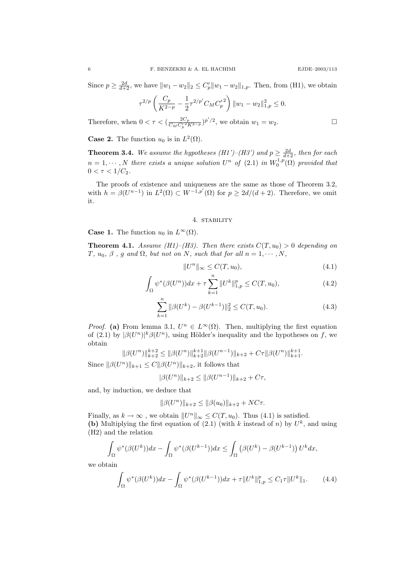Since  $p \ge \frac{2d}{d+2}$ , we have  $||w_1 - w_2||_2 \le C_p'||w_1 - w_2||_{1,p}$ . Then, from (H1), we obtain

$$
\tau^{2/p} \left( \frac{C_p}{K^{2-p}} - \frac{1}{2} \tau^{2/p'} C_M {C'_p}^2 \right) ||w_1 - w_2||_{1,p}^2 \le 0.
$$

Therefore, when  $0 < \tau < (\frac{2C_p}{C_{\rm M}C'^2}$  $\frac{2C_p}{C_M C_p^{\prime 2} K^{2-p}}$ )<sup>p'</sup>/<sup>2</sup>, we obtain  $w_1 = w_2$ .

**Case 2.** The function  $u_0$  is in  $L^2(\Omega)$ .

**Theorem 3.4.** We assume the hypotheses (H1')–(H3') and  $p \ge \frac{2d}{d+2}$ , then for each  $n = 1, \dots, N$  there exists a unique solution  $U^n$  of  $(2.1)$  in  $W_0^{1,p}(\Omega)$  provided that  $0 < \tau < 1/C_2$ .

The proofs of existence and uniqueness are the same as those of Theorem 3.2, with  $h = \beta(U^{n-1})$  in  $L^2(\Omega) \subset W^{-1,p'}(\Omega)$  for  $p \geq 2d/(d+2)$ . Therefore, we omit it.

#### 4. stability

**Case 1.** The function  $u_0$  in  $L^{\infty}(\Omega)$ .

**Theorem 4.1.** Assume (H1)–(H3). Then there exists  $C(T, u_0) > 0$  depending on T,  $u_0$ ,  $\beta$ ,  $g$  and  $\Omega$ , but not on N, such that for all  $n = 1, \cdots, N$ ,

$$
||U^n||_{\infty} \le C(T, u_0), \tag{4.1}
$$

$$
\int_{\Omega} \psi^*(\beta(U^n))dx + \tau \sum_{k=1}^n \|U^k\|_{1,p}^p \le C(T, u_0),\tag{4.2}
$$

$$
\sum_{k=1}^{n} \|\beta(U^{k}) - \beta(U^{k-1})\|_{2}^{2} \le C(T, u_{0}).
$$
\n(4.3)

*Proof.* (a) From lemma 3.1,  $U^n \in L^{\infty}(\Omega)$ . Then, multiplying the first equation of (2.1) by  $|\beta(U^n)|^k \beta(U^n)$ , using Hölder's inequality and the hypotheses on f, we obtain

$$
\|\beta(U^n)\|_{k+2}^{k+2} \le \|\beta(U^n)\|_{k+2}^{k+1} \|\beta(U^{n-1})\|_{k+2} + C\tau \|\beta(U^n)\|_{k+1}^{k+1}.
$$

Since  $\|\beta(U^n)\|_{k+1} \leq C \|\beta(U^n)\|_{k+2}$ , it follows that

$$
|\beta(U^n)\|_{k+2} \le \|\beta(U^{n-1})\|_{k+2} + C\tau,
$$

and, by induction, we deduce that

$$
\|\beta(U^n)\|_{k+2} \le \|\beta(u_0)\|_{k+2} + NC\tau.
$$

Finally, as  $k \to \infty$ , we obtain  $||U^n||_{\infty} \leq C(T, u_0)$ . Thus (4.1) is satisfied. (b) Multiplying the first equation of  $(2.1)$  (with k instead of n) by  $U^k$ , and using (H2) and the relation

$$
\int_{\Omega} \psi^*(\beta(U^k))dx - \int_{\Omega} \psi^*(\beta(U^{k-1}))dx \le \int_{\Omega} \left(\beta(U^k) - \beta(U^{k-1})\right)U^k dx,
$$

we obtain

$$
\int_{\Omega} \psi^*(\beta(U^k))dx - \int_{\Omega} \psi^*(\beta(U^{k-1}))dx + \tau \|U^k\|_{1,p}^p \le C_1 \tau \|U^k\|_1. \tag{4.4}
$$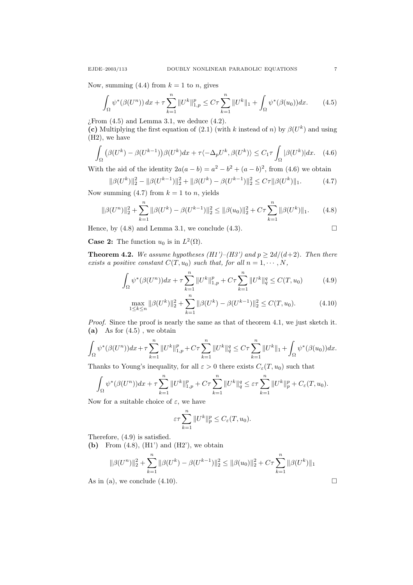Now, summing (4.4) from  $k = 1$  to n, gives

$$
\int_{\Omega} \psi^*(\beta(U^n)) \, dx + \tau \sum_{k=1}^n \|U^k\|_{1,p}^p \le C\tau \sum_{k=1}^n \|U^k\|_1 + \int_{\Omega} \psi^*(\beta(u_0)) \, dx. \tag{4.5}
$$

 $\chi$ From (4.5) and Lemma 3.1, we deduce (4.2).

(c) Multiplying the first equation of (2.1) (with k instead of n) by  $\beta(U^k)$  and using (H2), we have

$$
\int_{\Omega} \left( \beta(U^{k}) - \beta(U^{k-1}) \right) \beta(U^{k}) dx + \tau \langle -\Delta_{p} U^{k}, \beta(U^{k}) \rangle \leq C_{1} \tau \int_{\Omega} |\beta(U^{k})| dx. \tag{4.6}
$$

With the aid of the identity  $2a(a - b) = a^2 - b^2 + (a - b)^2$ , from (4.6) we obtain

$$
\|\beta(U^k)\|_2^2 - \|\beta(U^{k-1})\|_2^2 + \|\beta(U^k) - \beta(U^{k-1})\|_2^2 \le C\tau \|\beta(U^k)\|_1.
$$
 (4.7)

Now summing  $(4.7)$  from  $k = 1$  to n, yields

$$
\|\beta(U^n)\|_2^2 + \sum_{k=1}^n \|\beta(U^k) - \beta(U^{k-1})\|_2^2 \le \|\beta(u_0)\|_2^2 + C\tau \sum_{k=1}^n \|\beta(U^k)\|_1. \tag{4.8}
$$

Hence, by (4.8) and Lemma 3.1, we conclude (4.3).

$$
\Box
$$

**Case 2:** The function  $u_0$  is in  $L^2(\Omega)$ .

**Theorem 4.2.** We assume hypotheses (H1')–(H3') and  $p \geq 2d/(d+2)$ . Then there exists a positive constant  $C(T, u_0)$  such that, for all  $n = 1, \dots, N$ ,

$$
\int_{\Omega} \psi^*(\beta(U^n))dx + \tau \sum_{k=1}^n \|U^k\|_{1,p}^p + C\tau \sum_{k=1}^n \|U^k\|_q^q \le C(T, u_0)
$$
(4.9)

$$
\max_{1 \le k \le n} \|\beta(U^k)\|_2^2 + \sum_{k=1}^n \|\beta(U^k) - \beta(U^{k-1})\|_2^2 \le C(T, u_0). \tag{4.10}
$$

Proof. Since the proof is nearly the same as that of theorem 4.1, we just sketch it. (a) As for  $(4.5)$ , we obtain

$$
\int_{\Omega} \psi^*(\beta(U^n))dx + \tau \sum_{k=1}^n \|U^k\|_{1,p}^p + C\tau \sum_{k=1}^n \|U^k\|_{q}^q \leq C\tau \sum_{k=1}^n \|U^k\|_{1} + \int_{\Omega} \psi^*(\beta(u_0))dx.
$$

Thanks to Young's inequality, for all  $\varepsilon > 0$  there exists  $C_{\varepsilon}(T, u_0)$  such that

$$
\int_{\Omega} \psi^*(\beta(U^n))dx + \tau \sum_{k=1}^n \|U^k\|_{1,p}^p + C\tau \sum_{k=1}^n \|U^k\|_q^q \le \varepsilon \tau \sum_{k=1}^n \|U^k\|_p^p + C_{\varepsilon}(T, u_0).
$$

Now for a suitable choice of  $\varepsilon$ , we have

$$
\varepsilon \tau \sum_{k=1}^n \|U^k\|_p^p \le C_{\varepsilon}(T, u_0).
$$

Therefore, (4.9) is satisfied.

(b) From  $(4.8)$ ,  $(H1')$  and  $(H2')$ , we obtain

$$
\|\beta(U^n)\|_2^2 + \sum_{k=1}^n \|\beta(U^k) - \beta(U^{k-1})\|_2^2 \le \|\beta(u_0)\|_2^2 + C\tau \sum_{k=1}^n \|\beta(U^k)\|_1
$$
  
As in (a), we conclude (4.10).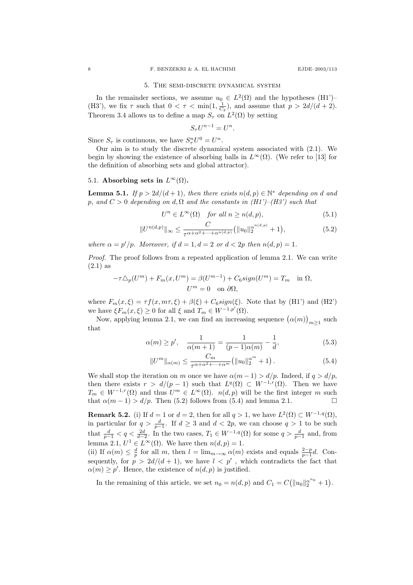#### 5. The semi-discrete dynamical system

In the remainder sections, we assume  $u_0 \in L^2(\Omega)$  and the hypotheses (H1<sup>'</sup>)-(H3'), we fix  $\tau$  such that  $0 < \tau < \min(1, \frac{1}{C_2})$ , and assume that  $p > 2d/(d+2)$ . Theorem 3.4 allows us to define a map  $S_{\tau}$  on  $L^2(\Omega)$  by setting

$$
S_{\tau}U^{n-1} = U^n.
$$

Since  $S_{\tau}$  is continuous, we have  $S_{\tau}^n U^0 = U^n$ .

Our aim is to study the discrete dynamical system associated with (2.1). We begin by showing the existence of absorbing balls in  $L^{\infty}(\Omega)$ . (We refer to [13] for the definition of absorbing sets and global attractor).

## 5.1. Absorbing sets in  $L^{\infty}(\Omega)$ .

**Lemma 5.1.** If  $p > 2d/(d+1)$ , then there exists  $n(d, p) \in \mathbb{N}^*$  depending on d and p, and  $C > 0$  depending on d,  $\Omega$  and the constants in  $(H1')-(H3')$  such that

$$
U^n \in L^{\infty}(\Omega) \quad \text{for all } n \ge n(d, p), \tag{5.1}
$$

$$
||U^{n(d,p)}||_{\infty} \leq \frac{C}{\tau^{\alpha+\alpha^2+\cdots+\alpha^{n(d,p)}}} (||u_0||_2^{\alpha^{n(d,p)}} + 1),
$$
\n(5.2)

where  $\alpha = p'/p$ . Moreover, if  $d = 1, d = 2$  or  $d < 2p$  then  $n(d, p) = 1$ .

Proof. The proof follows from a repeated application of lemma 2.1. We can write (2.1) as

$$
-\tau \Delta_p(U^m) + F_m(x, U^m) = \beta(U^{m-1}) + C_6 sign(U^m) = T_m \text{ in } \Omega,
$$
  

$$
U^m = 0 \text{ on } \partial\Omega,
$$

where  $F_m(x,\xi) = \tau f(x,m\tau,\xi) + \beta(\xi) + C_6sign(\xi)$ . Note that by (H1') and (H2') we have  $\xi F_m(x,\xi) \geq 0$  for all  $\xi$  and  $T_m \in W^{-1,p'}(\Omega)$ .

Now, applying lemma 2.1, we can find an increasing sequence  $(\alpha(m))_{m\geq 1}$  such that

$$
\alpha(m) \ge p', \quad \frac{1}{\alpha(m+1)} = \frac{1}{(p-1)\alpha(m)} - \frac{1}{d},\tag{5.3}
$$

$$
||U^m||_{\alpha(m)} \le \frac{C_m}{\tau^{\alpha + \alpha^2 + \dots + \alpha^m}} (||u_0||_2^{\alpha^m} + 1).
$$
 (5.4)

We shall stop the iteration on m once we have  $\alpha(m-1) > d/p$ . Indeed, if  $q > d/p$ , then there exists  $r > d/(p-1)$  such that  $L^q(\Omega) \subset W^{-1,r}(\Omega)$ . Then we have  $T_m \in W^{-1,r}(\Omega)$  and thus  $U^m \in L^{\infty}(\Omega)$ .  $n(d, p)$  will be the first integer m such that  $\alpha(m-1) > d/p$ . Then (5.2) follows from (5.4) and lemma 2.1.

**Remark 5.2.** (i) If  $d = 1$  or  $d = 2$ , then for all  $q > 1$ , we have  $L^2(\Omega) \subset W^{-1,q}(\Omega)$ , in particular for  $q > \frac{d}{p-1}$ . If  $d \geq 3$  and  $d < 2p$ , we can choose  $q > 1$  to be such that  $\frac{d}{p-1} < q < \frac{2d}{d-2}$ . In the two cases,  $T_1 \in W^{-1,q}(\Omega)$  for some  $q > \frac{d}{p-1}$  and, from lemma 2.1,  $U^1 \in L^{\infty}(\Omega)$ . We have then  $n(d, p) = 1$ .

(ii) If  $\alpha(m) \leq \frac{d}{p}$  for all m, then  $l = \lim_{m \to \infty} \alpha(m)$  exists and equals  $\frac{2-p}{p-1}d$ . Consequently, for  $p > 2d/(d+1)$ , we have  $l < p'$ , which contradicts the fact that  $\alpha(m) \geq p'$ . Hence, the existence of  $n(d, p)$  is justified.

In the remaining of this article, we set  $n_0 = n(d, p)$  and  $C_1 = C(||u_0||_2^{a_{n_0}} + 1)$ .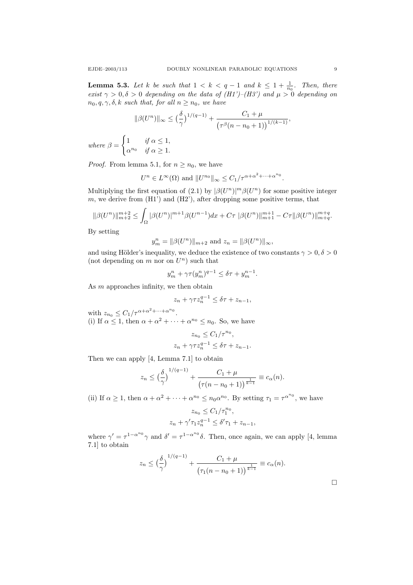**Lemma 5.3.** Let k be such that  $1 < k < q-1$  and  $k \leq 1 + \frac{1}{n_0}$ . Then, there exist  $\gamma > 0, \delta > 0$  depending on the data of (H1')–(H3') and  $\mu > 0$  depending on  $n_0, q, \gamma, \delta, k$  such that, for all  $n \geq n_0$ , we have

$$
\|\beta(U^n)\|_{\infty} \le \left(\frac{\delta}{\gamma}\right)^{1/(q-1)} + \frac{C_1 + \mu}{\left(\tau^{\beta}(n - n_0 + 1)\right)^{1/(k-1)}},
$$
  
where  $\beta = \begin{cases} 1 & \text{if } \alpha \le 1, \\ \alpha^{n_0} & \text{if } \alpha \ge 1. \end{cases}$ 

*Proof.* From lemma 5.1, for  $n \geq n_0$ , we have

$$
U^n \in L^{\infty}(\Omega) \text{ and } ||U^{n_0}||_{\infty} \leq C_1/\tau^{\alpha + \alpha^2 + \dots + \alpha^{n_0}}.
$$

Multiplying the first equation of (2.1) by  $\left|\beta(U^n)\right|^m\beta(U^n)$  for some positive integer  $m$ , we derive from  $(H1')$  and  $(H2')$ , after dropping some positive terms, that

$$
\|\beta(U^n)\|_{m+2}^{m+2} \le \int_{\Omega} |\beta(U^n)|^{m+1} \beta(U^{n-1}) dx + C\tau \|\beta(U^n)\|_{m+1}^{m+1} - C\tau \|\beta(U^n)\|_{m+q}^{m+q}.
$$

By setting

$$
y_m^n = ||\beta(U^n)||_{m+2}
$$
 and  $z_n = ||\beta(U^n)||_{\infty}$ ,

and using Hölder's inequality, we deduce the existence of two constants  $\gamma > 0, \delta > 0$ (not depending on  $m$  nor on  $U<sup>n</sup>$ ) such that

$$
y_m^n + \gamma \tau (y_m^n)^{q-1} \le \delta \tau + y_m^{n-1}.
$$

As m approaches infinity, we then obtain

$$
z_n + \gamma \tau z_n^{q-1} \le \delta \tau + z_{n-1},
$$

with  $z_{n_0} \leq C_1/\tau^{\alpha+\alpha^2+\cdots+\alpha^{n_0}}$ . (i) If  $\alpha \leq 1$ , then  $\alpha + \alpha^2 + \cdots + \alpha^{n_0} \leq n_0$ . So, we have

$$
z_{n_0} \le C_1/\tau^{n_0},
$$
  

$$
z_n + \gamma \tau z_n^{q-1} \le \delta \tau + z_{n-1}.
$$

Then we can apply [4, Lemma 7.1] to obtain

$$
z_n \leq {\left(\frac{\delta}{\gamma}\right)}^{1/(q-1)} + \frac{C_1 + \mu}{\left(\tau(n - n_0 + 1)\right)^{\frac{1}{k-1}}} \equiv c_\alpha(n).
$$

(ii) If  $\alpha \ge 1$ , then  $\alpha + \alpha^2 + \cdots + \alpha^{n_0} \le n_0 \alpha^{n_0}$ . By setting  $\tau_1 = \tau^{\alpha^{n_0}}$ , we have

$$
z_{n_0} \leq C_1/\tau_1^{n_0},
$$
  

$$
z_n + \gamma' \tau_1 z_n^{q-1} \leq \delta' \tau_1 + z_{n-1},
$$

where  $\gamma' = \tau^{1-\alpha^{n_0}}\gamma$  and  $\delta' = \tau^{1-\alpha^{n_0}}\delta$ . Then, once again, we can apply [4, lemma 7.1] to obtain

$$
z_n \leq \left(\frac{\delta}{\gamma}\right)^{1/(q-1)} + \frac{C_1 + \mu}{\left(\tau_1(n - n_0 + 1)\right)^{\frac{1}{k-1}}} \equiv c_\alpha(n).
$$

 $\Box$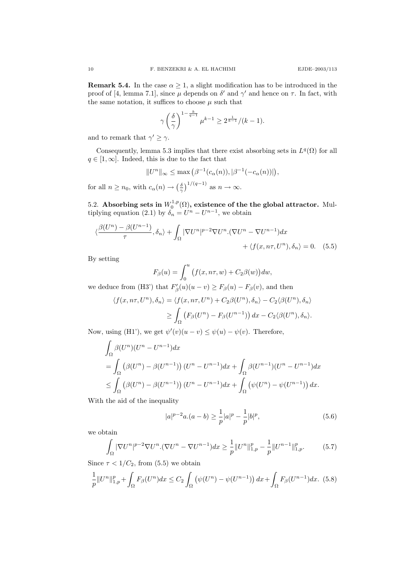**Remark 5.4.** In the case  $\alpha \geq 1$ , a slight modification has to be introduced in the proof of [4, lemma 7.1], since  $\mu$  depends on  $\delta'$  and  $\gamma'$  and hence on  $\tau$ . In fact, with the same notation, it suffices to choose  $\mu$  such that

$$
\gamma \left(\frac{\delta}{\gamma}\right)^{1-\frac{k}{q-1}} \mu^{k-1} \geq 2^{\frac{1}{k-1}}/(k-1).
$$

and to remark that  $\gamma' \geq \gamma$ .

Consequently, lemma 5.3 implies that there exist absorbing sets in  $L^q(\Omega)$  for all  $q \in [1,\infty]$ . Indeed, this is due to the fact that

$$
||U^n||_{\infty} \le \max(\beta^{-1}(c_{\alpha}(n)), |\beta^{-1}(-c_{\alpha}(n))|),
$$

for all  $n \geq n_0$ , with  $c_\alpha(n) \to \left(\frac{\delta}{\gamma}\right)^{1/(q-1)}$  as  $n \to \infty$ .

5.2. Absorbing sets in  $W_0^{1,p}(\Omega)$ , existence of the the global attractor. Multiplying equation (2.1) by  $\delta_n = U^n - U^{n-1}$ , we obtain

$$
\langle \frac{\beta(U^{n}) - \beta(U^{n-1})}{\tau}, \delta_{n} \rangle + \int_{\Omega} |\nabla U^{n}|^{p-2} \nabla U^{n} . (\nabla U^{n} - \nabla U^{n-1}) dx + \langle f(x, n\tau, U^{n}), \delta_{n} \rangle = 0.
$$
 (5.5)

By setting

$$
F_{\beta}(u) = \int_0^u \left( f(x, n\tau, w) + C_2 \beta(w) \right) dw,
$$

we deduce from (H3') that  $F'_{\beta}(u)(u - v) \geq F_{\beta}(u) - F_{\beta}(v)$ , and then

$$
\langle f(x, n\tau, U^n), \delta_n \rangle = \langle f(x, n\tau, U^n) + C_2 \beta(U^n), \delta_n \rangle - C_2 \langle \beta(U^n), \delta_n \rangle
$$
  
 
$$
\geq \int_{\Omega} \left( F_{\beta}(U^n) - F_{\beta}(U^{n-1}) \right) dx - C_2 \langle \beta(U^n), \delta_n \rangle.
$$

Now, using (H1'), we get  $\psi'(v)(u - v) \leq \psi(u) - \psi(v)$ . Therefore,

$$
\int_{\Omega} \beta(U^n)(U^n - U^{n-1})dx
$$
\n
$$
= \int_{\Omega} \left(\beta(U^n) - \beta(U^{n-1})\right)(U^n - U^{n-1})dx + \int_{\Omega} \beta(U^{n-1})(U^n - U^{n-1})dx
$$
\n
$$
\leq \int_{\Omega} \left(\beta(U^n) - \beta(U^{n-1})\right)(U^n - U^{n-1})dx + \int_{\Omega} \left(\psi(U^n) - \psi(U^{n-1})\right)dx.
$$

With the aid of the inequality

$$
|a|^{p-2}a.(a-b) \ge \frac{1}{p}|a|^p - \frac{1}{p}|b|^p,\tag{5.6}
$$

we obtain

$$
\int_{\Omega} |\nabla U^n|^{p-2} \nabla U^n \cdot (\nabla U^n - \nabla U^{n-1}) dx \ge \frac{1}{p} ||U^n||_{1,p}^p - \frac{1}{p} ||U^{n-1}||_{1,p}^p. \tag{5.7}
$$

Since  $\tau < 1/C_2$ , from (5.5) we obtain

$$
\frac{1}{p}||U^n||_{1,p}^p + \int_{\Omega} F_{\beta}(U^n)dx \le C_2 \int_{\Omega} \left(\psi(U^n) - \psi(U^{n-1})\right)dx + \int_{\Omega} F_{\beta}(U^{n-1})dx. \tag{5.8}
$$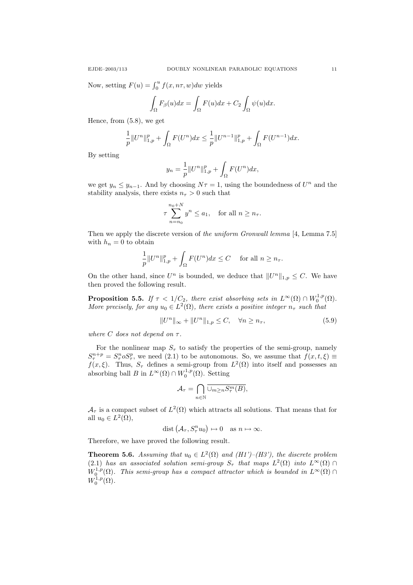Now, setting  $F(u) = \int_0^u f(x, n\tau, w) dw$  yields

$$
\int_{\Omega} F_{\beta}(u)dx = \int_{\Omega} F(u)dx + C_2 \int_{\Omega} \psi(u)dx.
$$

Hence, from (5.8), we get

$$
\frac{1}{p}||U^n||_{1,p}^p + \int_{\Omega} F(U^n)dx \le \frac{1}{p}||U^{n-1}||_{1,p}^p + \int_{\Omega} F(U^{n-1})dx.
$$

By setting

$$
y_n = \frac{1}{p} ||U^n||_{1,p}^p + \int_{\Omega} F(U^n) dx,
$$

we get  $y_n \leq y_{n-1}$ . And by choosing  $N\tau = 1$ , using the boundedness of  $U^n$  and the stability analysis, there exists  $n<sub>\tau</sub> > 0$  such that

$$
\tau \sum_{n=n_0}^{n_0+N} y^n \le a_1, \quad \text{for all } n \ge n_\tau.
$$

Then we apply the discrete version of the uniform Gronwall lemma [4, Lemma 7.5] with  $h_n = 0$  to obtain

$$
\frac{1}{p}||U^n||_{1,p}^p + \int_{\Omega} F(U^n)dx \le C \quad \text{ for all } n \ge n_{\tau}.
$$

On the other hand, since  $U^n$  is bounded, we deduce that  $||U^n||_{1,p} \leq C$ . We have then proved the following result.

**Proposition 5.5.** If  $\tau < 1/C_2$ , there exist absorbing sets in  $L^{\infty}(\Omega) \cap W_0^{1,p}(\Omega)$ . More precisely, for any  $u_0 \in L^2(\Omega)$ , there exists a positive integer  $n_{\tau}$  such that

$$
||U^n||_{\infty} + ||U^n||_{1,p} \le C, \quad \forall n \ge n_{\tau}, \tag{5.9}
$$

where C does not depend on  $\tau$ .

For the nonlinear map  $S_{\tau}$  to satisfy the properties of the semi-group, namely  $S^{n+p}_{\tau} = S^{n}_{\tau} \circ S^{p}_{\tau}$ , we need (2.1) to be autonomous. So, we assume that  $f(x, t, \xi) \equiv$  $f(x,\xi)$ . Thus,  $S_{\tau}$  defines a semi-group from  $L^2(\Omega)$  into itself and possesses and  $f(x,\xi)$ . absorbing ball B in  $L^{\infty}(\Omega) \cap W_0^{1,p}(\Omega)$ . Setting

$$
\mathcal{A}_\tau = \bigcap_{n \in \mathbb{N}} \overline{\cup_{m \geq n} S_\tau^m(B)},
$$

 $\mathcal{A}_{\tau}$  is a compact subset of  $L^2(\Omega)$  which attracts all solutions. That means that for all  $u_0 \in L^2(\Omega)$ ,

$$
\text{dist}(\mathcal{A}_{\tau}, S_{\tau}^n u_0) \mapsto 0 \quad \text{as } n \mapsto \infty.
$$

Therefore, we have proved the following result.

**Theorem 5.6.** Assuming that  $u_0 \in L^2(\Omega)$  and  $(H1')$ – $(H3')$ , the discrete problem (2.1) has an associated solution semi-group  $S_{\tau}$  that maps  $L^2(\Omega)$  into  $L^{\infty}(\Omega) \cap$  $W_0^{1,p}(\Omega)$ . This semi-group has a compact attractor which is bounded in  $L^{\infty}(\Omega)$  $W_0^{1,p}(\Omega)$ .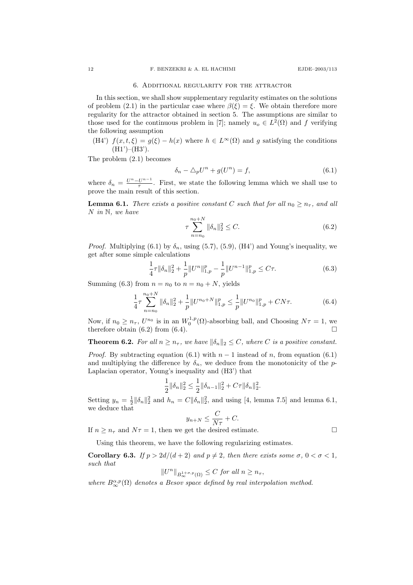#### 6. Additional regularity for the attractor

In this section, we shall show supplementary regularity estimates on the solutions of problem (2.1) in the particular case where  $\beta(\xi) = \xi$ . We obtain therefore more regularity for the attractor obtained in section 5. The assumptions are similar to those used for the continuous problem in [7]; namely  $u_o \in L^2(\Omega)$  and f verifying the following assumption

(H4')  $f(x, t, \xi) = g(\xi) - h(x)$  where  $h \in L^{\infty}(\Omega)$  and g satisfying the conditions  $(H1')$ – $(H3')$ .

The problem (2.1) becomes

$$
\delta_n - \Delta_p U^n + g(U^n) = f,\tag{6.1}
$$

where  $\delta_n = \frac{U^n - U^{n-1}}{\tau}$  $\frac{U^{n-1}}{\tau}$ . First, we state the following lemma which we shall use to prove the main result of this section.

**Lemma 6.1.** There exists a positive constant C such that for all  $n_0 > n_{\tau}$ , and all  $N$  in  $\mathbb{N}$ , we have

$$
\tau \sum_{n=n_0}^{n_0+N} \|\delta_n\|_2^2 \le C. \tag{6.2}
$$

*Proof.* Multiplying (6.1) by  $\delta_n$ , using (5.7), (5.9), (H4') and Young's inequality, we get after some simple calculations

$$
\frac{1}{4}\tau \|\delta_n\|_2^2 + \frac{1}{p} \|U^n\|_{1,p}^p - \frac{1}{p} \|U^{n-1}\|_{1,p}^p \le C\tau.
$$
\n(6.3)

Summing (6.3) from  $n = n_0$  to  $n = n_0 + N$ , yields

$$
\frac{1}{4}\tau \sum_{n=n_0}^{n_0+N} \|\delta_n\|_2^2 + \frac{1}{p} \|U^{n_0+N}\|_{1,p}^p \le \frac{1}{p} \|U^{n_0}\|_{1,p}^p + CN\tau.
$$
 (6.4)

Now, if  $n_0 \ge n_\tau$ ,  $U^{n_0}$  is in an  $W_0^{1,p}(\Omega)$ -absorbing ball, and Choosing  $N\tau = 1$ , we therefore obtain (6.2) from (6.4).

**Theorem 6.2.** For all  $n \geq n_{\tau}$ , we have  $\|\delta_n\|_2 \leq C$ , where C is a positive constant.

*Proof.* By subtracting equation (6.1) with  $n-1$  instead of n, from equation (6.1) and multiplying the difference by  $\delta_n$ , we deduce from the monotonicity of the p-Laplacian operator, Young's inequality and (H3') that

$$
\frac{1}{2} \|\delta_n\|_2^2 \le \frac{1}{2} \|\delta_{n-1}\|_2^2 + C\tau \|\delta_n\|_2^2.
$$

Setting  $y_n = \frac{1}{2} ||\delta_n||_2^2$  and  $h_n = C ||\delta_n||_2^2$ , and using [4, lemma 7.5] and lemma 6.1, we deduce that

$$
y_{n+N} \le \frac{C}{N\tau} + C.
$$

If  $n > n_{\tau}$  and  $N_{\tau} = 1$ , then we get the desired estimate.

Using this theorem, we have the following regularizing estimates.

**Corollary 6.3.** If  $p > 2d/(d+2)$  and  $p \neq 2$ , then there exists some  $\sigma$ ,  $0 < \sigma < 1$ , such that

$$
||U^n||_{B^{1+\sigma,p}_{\infty}(\Omega)} \leq C \text{ for all } n \geq n_{\tau},
$$

where  $B_{\infty}^{\alpha,p}(\Omega)$  denotes a Besov space defined by real interpolation method.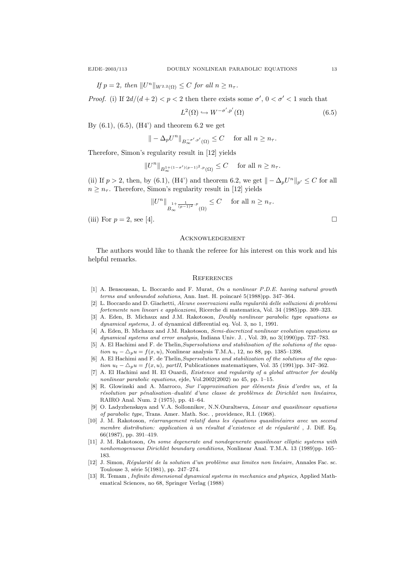If  $p = 2$ , then  $||U^n||_{W^{2,2}(\Omega)} \leq C$  for all  $n \geq n_{\tau}$ .

*Proof.* (i) If  $2d/(d+2) < p < 2$  then there exists some  $\sigma'$ ,  $0 < \sigma' < 1$  such that

$$
L^{2}(\Omega) \hookrightarrow W^{-\sigma', p'}(\Omega) \tag{6.5}
$$

By  $(6.1)$ ,  $(6.5)$ ,  $(H4')$  and theorem 6.2 we get

$$
\|-\Delta_p U^n\|_{B^{-\sigma',p'}_{\infty}(\Omega)}\leq C\quad\text{ for all }n\geq n_\tau.
$$

Therefore, Simon's regularity result in [12] yields

$$
||U^n||_{B^{1+(1-\sigma')(p-1)^2,p}(\Omega)} \leq C \quad \text{ for all } n \geq n_{\tau}.
$$

(ii) If  $p > 2$ , then, by (6.1), (H4') and theorem 6.2, we get  $\| - \Delta_p U^n \|_{p'} \leq C$  for all  $n \geq n_{\tau}$ . Therefore, Simon's regularity result in [12] yields

$$
\|U^n\|_{B_\infty^{\frac{1}{1+\frac{1}{(p-1)^2},p}}(\Omega)}\leq C\quad\text{ for all }n\geq n_\tau.
$$

(iii) For  $p = 2$ , see [4].

#### **ACKNOWLEDGEMENT**

The authors would like to thank the referee for his interest on this work and his helpful remarks.

#### **REFERENCES**

- [1] A. Bensoussan, L. Boccardo and F. Murat, On a nonlinear P.D.E. having natural growth  $terms and unbounded solutions, Ann. Inst. H. poincaré  $5(1988)pp. 347-364.$$
- [2] L. Boccardo and D. Giachetti, Alcune osservazioni sulla regularità delle solluzioni di problemi fortemente non lineari e applicazioni, Ricerche di matematica, Vol. 34 (1985)pp. 309–323.
- [3] A. Eden, B. Michaux and J.M. Rakotoson, Doubly nonlinear parabolic type equations as dynamical systems, J. of dynamical differential eq. Vol. 3, no 1, 1991.
- [4] A. Eden, B. Michaux and J.M. Rakotoson, Semi-discretized nonlinear evolution equations as dynamical systems and error analysis, Indiana Univ. J. , Vol. 39, no 3(1990)pp. 737–783.
- [5] A. El Hachimi and F. de Thelin, Supersolutions and stabilisation of the solutions of the equation  $u_t - \Delta_p u = f(x, u)$ , Nonlinear analysis T.M.A., 12, no 88, pp. 1385–1398.
- [6] A. El Hachimi and F. de Thelin, Supersolutions and stabilization of the solutions of the equation  $u_t - \Delta_p u = f(x, u)$ , partII, Publicationes matematiques, Vol. 35 (1991)pp. 347–362.
- [7] A. El Hachimi and H. El Ouardi, Existence and regularity of a global attractor for doubly nonlinear parabolic equations, ejde, Vol.2002(2002) no 45, pp. 1–15.
- [8] R. Glowinski and A. Marroco, Sur l'approximation par éléments finis d'ordre un, et la  $r$ ésolution par pénalisation-dualité d'une classe de problèmes de Dirichlet non linéaires, RAIRO Anal. Num. 2 (1975), pp. 41–64.
- [9] O. Ladyzhenskaya and V.A. Sollonnikov, N.N.Ouraltseva, Linear and quasilinear equations of parabolic type, Trans. Amer. Math. Soc. , providence, R.I. (1968).
- [10] J. M. Rakotoson, réarrangement relatif dans les équations quasilinéaires avec un second membre distribution: application à un résultat d'existence et de régularité, J. Diff. Eq. 66(1987), pp. 391–419.
- [11] J. M. Rakotoson, On some degenerate and nondegenerate quasilinear elliptic systems with nonhomogenuous Dirichlet boundary conditions, Nonlinear Anal. T.M.A. 13 (1989)pp. 165– 183.
- [12] J. Simon, Réqularité de la solution d'un problème aux limites non linéaire, Annales Fac. sc. Toulouse 3, série 5(1981), pp. 247-274.
- [13] R. Temam , Infinite dimensional dynamical systems in mechanics and physics, Applied Mathematical Sciences, no 68, Springer Verlag (1988)